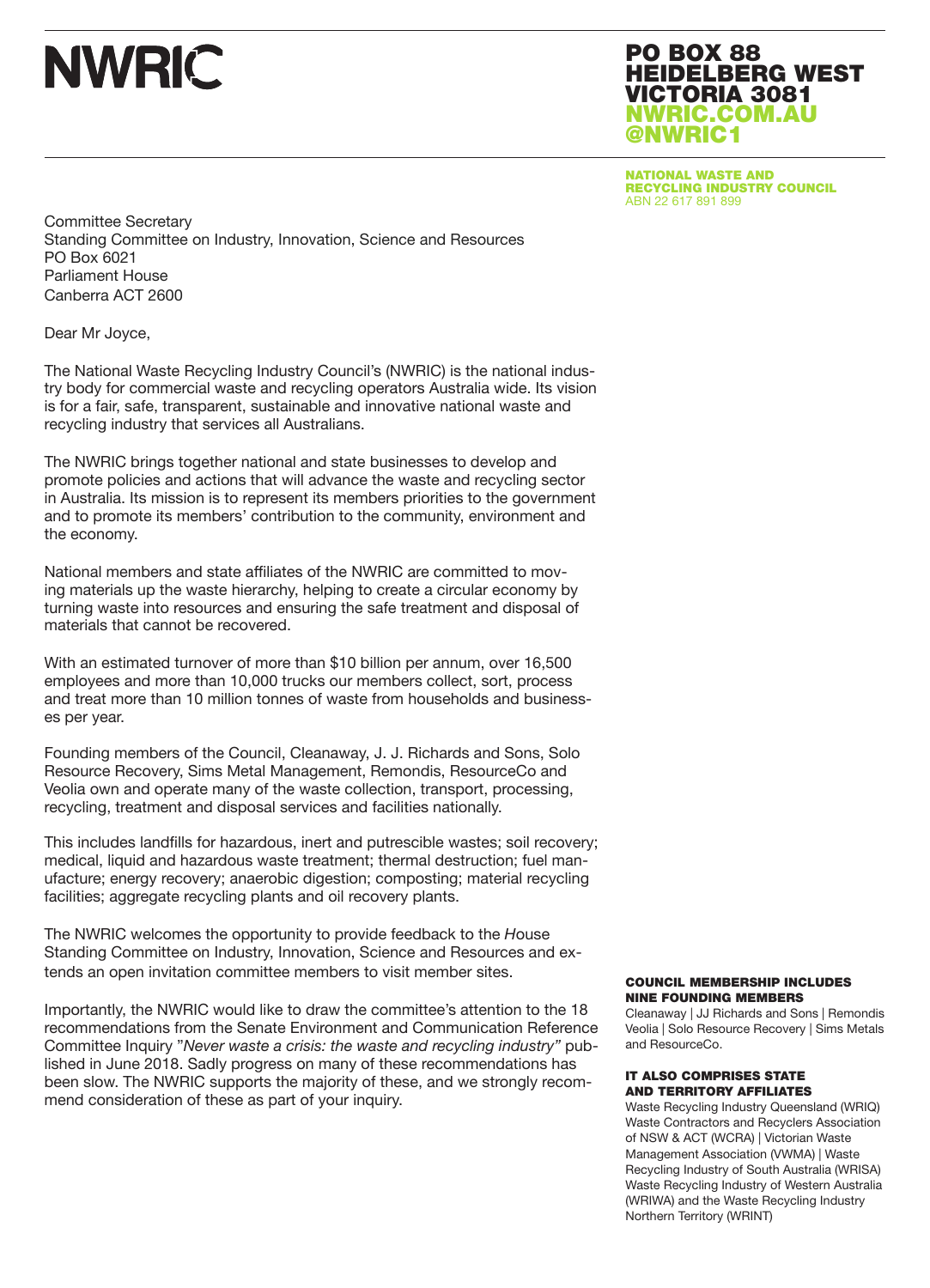# **NWRIC**

PO BOX 88 HEIDELBERG WEST VICTORIA 3081 NWRIC.COM.AU @NWRIC1

NATIONAL WASTE AND RECYCLING INDUSTRY COUNCIL ABN 22 617 891 899

Committee Secretary Standing Committee on Industry, Innovation, Science and Resources PO Box 6021 Parliament House Canberra ACT 2600

Dear Mr Joyce,

The National Waste Recycling Industry Council's (NWRIC) is the national industry body for commercial waste and recycling operators Australia wide. Its vision is for a fair, safe, transparent, sustainable and innovative national waste and recycling industry that services all Australians.

The NWRIC brings together national and state businesses to develop and promote policies and actions that will advance the waste and recycling sector in Australia. Its mission is to represent its members priorities to the government and to promote its members' contribution to the community, environment and the economy.

National members and state affiliates of the NWRIC are committed to moving materials up the waste hierarchy, helping to create a circular economy by turning waste into resources and ensuring the safe treatment and disposal of materials that cannot be recovered.

With an estimated turnover of more than \$10 billion per annum, over 16,500 employees and more than 10,000 trucks our members collect, sort, process and treat more than 10 million tonnes of waste from households and businesses per year.

Founding members of the Council, Cleanaway, J. J. Richards and Sons, Solo Resource Recovery, Sims Metal Management, Remondis, ResourceCo and Veolia own and operate many of the waste collection, transport, processing, recycling, treatment and disposal services and facilities nationally.

This includes landfills for hazardous, inert and putrescible wastes; soil recovery; medical, liquid and hazardous waste treatment; thermal destruction; fuel manufacture; energy recovery; anaerobic digestion; composting; material recycling facilities; aggregate recycling plants and oil recovery plants.

The NWRIC welcomes the opportunity to provide feedback to the *H*ouse Standing Committee on Industry, Innovation, Science and Resources and extends an open invitation committee members to visit member sites.

Importantly, the NWRIC would like to draw the committee's attention to the 18 recommendations from the Senate Environment and Communication Reference Committee Inquiry "*Never waste a crisis: the waste and recycling industry"* published in June 2018. Sadly progress on many of these recommendations has been slow. The NWRIC supports the majority of these, and we strongly recommend consideration of these as part of your inquiry.

#### COUNCIL MEMBERSHIP INCLUDES NINE FOUNDING MEMBERS

Cleanaway | JJ Richards and Sons | Remondis Veolia | Solo Resource Recovery | Sims Metals and ResourceCo.

#### IT ALSO COMPRISES STATE AND TERRITORY AFFILIATES

Waste Recycling Industry Queensland (WRIQ) Waste Contractors and Recyclers Association of NSW & ACT (WCRA) | Victorian Waste Management Association (VWMA) | Waste Recycling Industry of South Australia (WRISA) Waste Recycling Industry of Western Australia (WRIWA) and the Waste Recycling Industry Northern Territory (WRINT)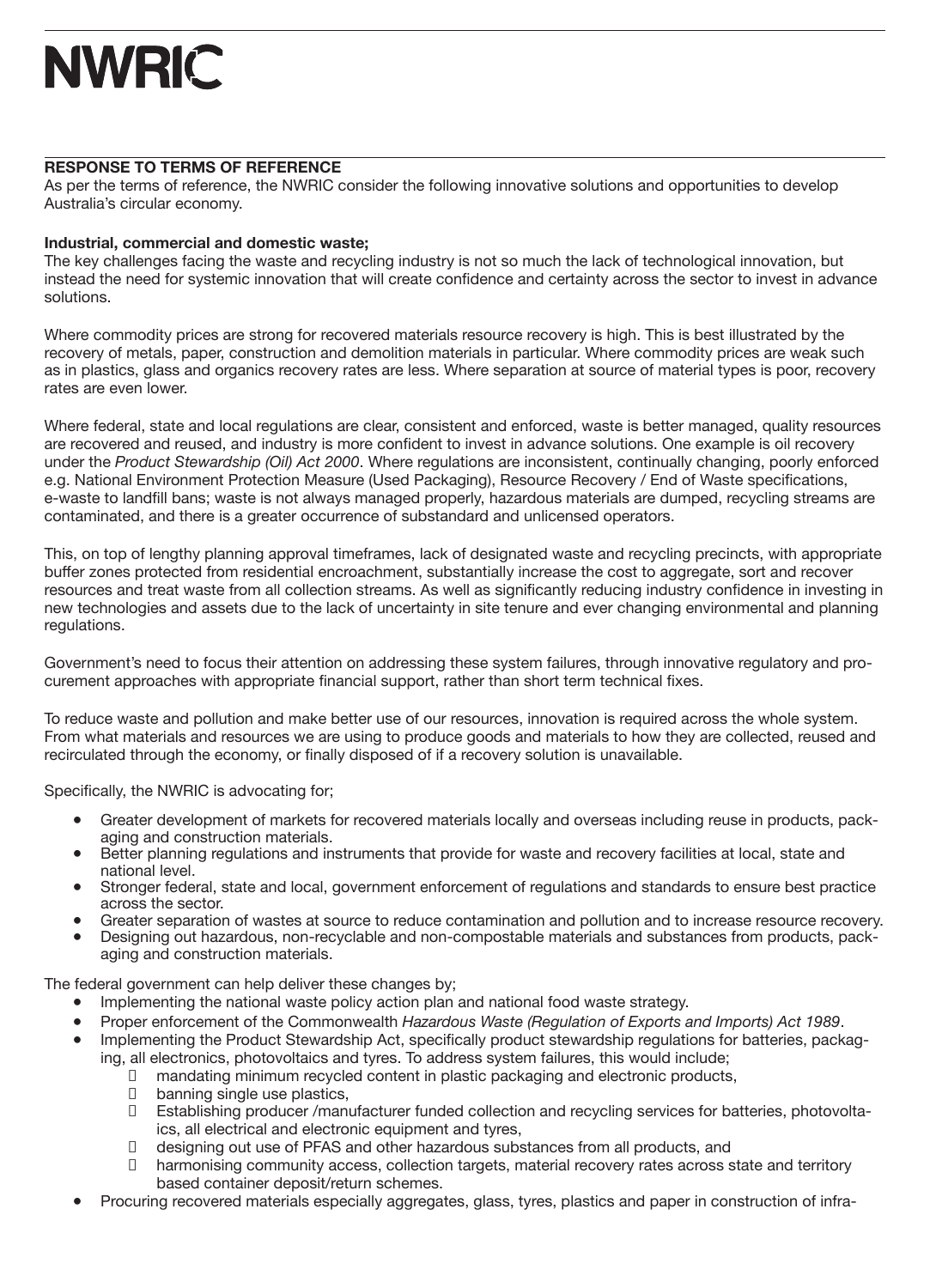# **NWRIC**

## **RESPONSE TO TERMS OF REFERENCE**

As per the terms of reference, the NWRIC consider the following innovative solutions and opportunities to develop Australia's circular economy.

## **Industrial, commercial and domestic waste;**

The key challenges facing the waste and recycling industry is not so much the lack of technological innovation, but instead the need for systemic innovation that will create confidence and certainty across the sector to invest in advance solutions.

Where commodity prices are strong for recovered materials resource recovery is high. This is best illustrated by the recovery of metals, paper, construction and demolition materials in particular. Where commodity prices are weak such as in plastics, glass and organics recovery rates are less. Where separation at source of material types is poor, recovery rates are even lower.

Where federal, state and local regulations are clear, consistent and enforced, waste is better managed, quality resources are recovered and reused, and industry is more confident to invest in advance solutions. One example is oil recovery under the *Product Stewardship (Oil) Act 2000*. Where regulations are inconsistent, continually changing, poorly enforced e.g. National Environment Protection Measure (Used Packaging), Resource Recovery / End of Waste specifications, e-waste to landfill bans; waste is not always managed properly, hazardous materials are dumped, recycling streams are contaminated, and there is a greater occurrence of substandard and unlicensed operators.

This, on top of lengthy planning approval timeframes, lack of designated waste and recycling precincts, with appropriate buffer zones protected from residential encroachment, substantially increase the cost to aggregate, sort and recover resources and treat waste from all collection streams. As well as significantly reducing industry confidence in investing in new technologies and assets due to the lack of uncertainty in site tenure and ever changing environmental and planning regulations.

Government's need to focus their attention on addressing these system failures, through innovative regulatory and procurement approaches with appropriate financial support, rather than short term technical fixes.

To reduce waste and pollution and make better use of our resources, innovation is required across the whole system. From what materials and resources we are using to produce goods and materials to how they are collected, reused and recirculated through the economy, or finally disposed of if a recovery solution is unavailable.

Specifically, the NWRIC is advocating for;

- Greater development of markets for recovered materials locally and overseas including reuse in products, packaging and construction materials.
- Better planning regulations and instruments that provide for waste and recovery facilities at local, state and national level.
- Stronger federal, state and local, government enforcement of regulations and standards to ensure best practice across the sector.
- Greater separation of wastes at source to reduce contamination and pollution and to increase resource recovery.
- Designing out hazardous, non-recyclable and non-compostable materials and substances from products, packaging and construction materials.

The federal government can help deliver these changes by;

- Implementing the national waste policy action plan and national food waste strategy.
- Proper enforcement of the Commonwealth *Hazardous Waste (Regulation of Exports and Imports) Act 1989*.
- Implementing the Product Stewardship Act, specifically product stewardship regulations for batteries, packag
	- ing, all electronics, photovoltaics and tyres. To address system failures, this would include;<br>In mandating minimum recycled content in plastic packaging and electronic products □ mandating minimum recycled content in plastic packaging and electronic products,<br>□ banning single use plastics,
		- banning single use plastics,
		- □ Establishing producer /manufacturer funded collection and recycling services for batteries, photovoltaics, all electrical and electronic equipment and tyres,
		- □ designing out use of PFAS and other hazardous substances from all products, and
		- □ harmonising community access, collection targets, material recovery rates across state and territory based container deposit/return schemes.
- Procuring recovered materials especially aggregates, glass, tyres, plastics and paper in construction of infra-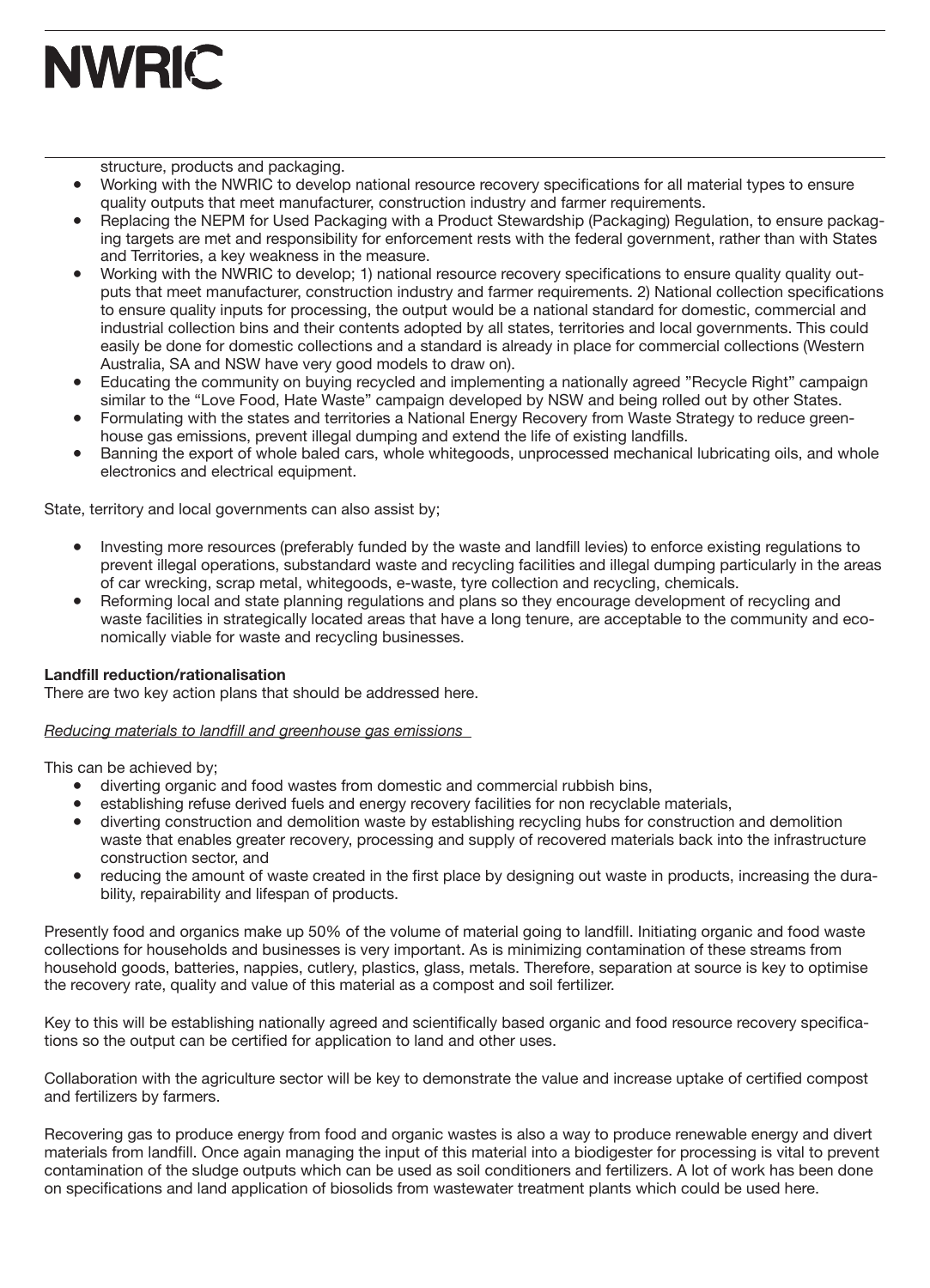

structure, products and packaging.

- Working with the NWRIC to develop national resource recovery specifications for all material types to ensure quality outputs that meet manufacturer, construction industry and farmer requirements.
- Replacing the NEPM for Used Packaging with a Product Stewardship (Packaging) Regulation, to ensure packaging targets are met and responsibility for enforcement rests with the federal government, rather than with States and Territories, a key weakness in the measure.
- Working with the NWRIC to develop; 1) national resource recovery specifications to ensure quality quality outputs that meet manufacturer, construction industry and farmer requirements. 2) National collection specifications to ensure quality inputs for processing, the output would be a national standard for domestic, commercial and industrial collection bins and their contents adopted by all states, territories and local governments. This could easily be done for domestic collections and a standard is already in place for commercial collections (Western Australia, SA and NSW have very good models to draw on).
- Educating the community on buying recycled and implementing a nationally agreed "Recycle Right" campaign similar to the "Love Food, Hate Waste" campaign developed by NSW and being rolled out by other States.
- Formulating with the states and territories a National Energy Recovery from Waste Strategy to reduce greenhouse gas emissions, prevent illegal dumping and extend the life of existing landfills.
- Banning the export of whole baled cars, whole whitegoods, unprocessed mechanical lubricating oils, and whole electronics and electrical equipment.

State, territory and local governments can also assist by;

- Investing more resources (preferably funded by the waste and landfill levies) to enforce existing regulations to prevent illegal operations, substandard waste and recycling facilities and illegal dumping particularly in the areas of car wrecking, scrap metal, whitegoods, e-waste, tyre collection and recycling, chemicals.
- Reforming local and state planning regulations and plans so they encourage development of recycling and waste facilities in strategically located areas that have a long tenure, are acceptable to the community and economically viable for waste and recycling businesses.

### **Landfill reduction/rationalisation**

There are two key action plans that should be addressed here.

#### *Reducing materials to landfill and greenhouse gas emissions*

This can be achieved by;

- diverting organic and food wastes from domestic and commercial rubbish bins,
- establishing refuse derived fuels and energy recovery facilities for non recyclable materials,
- diverting construction and demolition waste by establishing recycling hubs for construction and demolition waste that enables greater recovery, processing and supply of recovered materials back into the infrastructure construction sector, and
- reducing the amount of waste created in the first place by designing out waste in products, increasing the durability, repairability and lifespan of products.

Presently food and organics make up 50% of the volume of material going to landfill. Initiating organic and food waste collections for households and businesses is very important. As is minimizing contamination of these streams from household goods, batteries, nappies, cutlery, plastics, glass, metals. Therefore, separation at source is key to optimise the recovery rate, quality and value of this material as a compost and soil fertilizer.

Key to this will be establishing nationally agreed and scientifically based organic and food resource recovery specifications so the output can be certified for application to land and other uses.

Collaboration with the agriculture sector will be key to demonstrate the value and increase uptake of certified compost and fertilizers by farmers.

Recovering gas to produce energy from food and organic wastes is also a way to produce renewable energy and divert materials from landfill. Once again managing the input of this material into a biodigester for processing is vital to prevent contamination of the sludge outputs which can be used as soil conditioners and fertilizers. A lot of work has been done on specifications and land application of biosolids from wastewater treatment plants which could be used here.